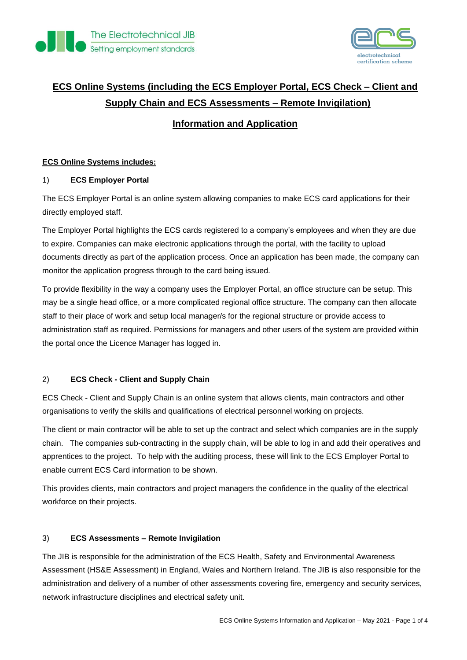



# **ECS Online Systems (including the ECS Employer Portal, ECS Check – Client and Supply Chain and ECS Assessments – Remote Invigilation)**

# **Information and Application**

## **ECS Online Systems includes:**

## 1) **ECS Employer Portal**

The ECS Employer Portal is an online system allowing companies to make ECS card applications for their directly employed staff.

The Employer Portal highlights the ECS cards registered to a company's employees and when they are due to expire. Companies can make electronic applications through the portal, with the facility to upload documents directly as part of the application process. Once an application has been made, the company can monitor the application progress through to the card being issued.

To provide flexibility in the way a company uses the Employer Portal, an office structure can be setup. This may be a single head office, or a more complicated regional office structure. The company can then allocate staff to their place of work and setup local manager/s for the regional structure or provide access to administration staff as required. Permissions for managers and other users of the system are provided within the portal once the Licence Manager has logged in.

## 2) **ECS Check - Client and Supply Chain**

ECS Check - Client and Supply Chain is an online system that allows clients, main contractors and other organisations to verify the skills and qualifications of electrical personnel working on projects.

The client or main contractor will be able to set up the contract and select which companies are in the supply chain. The companies sub-contracting in the supply chain, will be able to log in and add their operatives and apprentices to the project. To help with the auditing process, these will link to the ECS Employer Portal to enable current ECS Card information to be shown.

This provides clients, main contractors and project managers the confidence in the quality of the electrical workforce on their projects.

#### 3) **ECS Assessments – Remote Invigilation**

The JIB is responsible for the administration of the ECS Health, Safety and Environmental Awareness Assessment (HS&E Assessment) in England, Wales and Northern Ireland. The JIB is also responsible for the administration and delivery of a number of other assessments covering fire, emergency and security services, network infrastructure disciplines and electrical safety unit.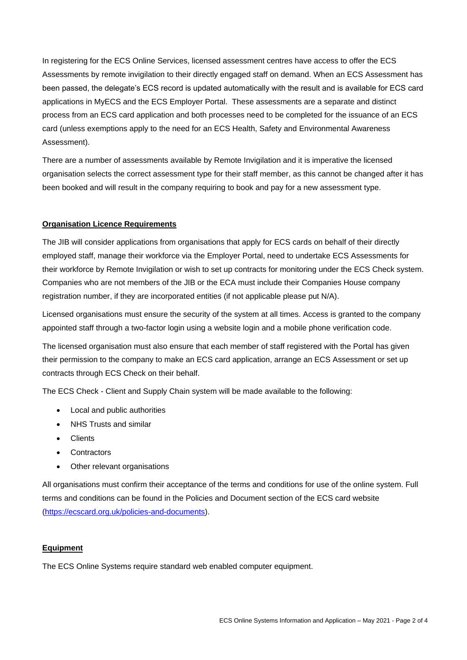In registering for the ECS Online Services, licensed assessment centres have access to offer the ECS Assessments by remote invigilation to their directly engaged staff on demand. When an ECS Assessment has been passed, the delegate's ECS record is updated automatically with the result and is available for ECS card applications in MyECS and the ECS Employer Portal. These assessments are a separate and distinct process from an ECS card application and both processes need to be completed for the issuance of an ECS card (unless exemptions apply to the need for an ECS Health, Safety and Environmental Awareness Assessment).

There are a number of assessments available by Remote Invigilation and it is imperative the licensed organisation selects the correct assessment type for their staff member, as this cannot be changed after it has been booked and will result in the company requiring to book and pay for a new assessment type.

#### **Organisation Licence Requirements**

The JIB will consider applications from organisations that apply for ECS cards on behalf of their directly employed staff, manage their workforce via the Employer Portal, need to undertake ECS Assessments for their workforce by Remote Invigilation or wish to set up contracts for monitoring under the ECS Check system. Companies who are not members of the JIB or the ECA must include their Companies House company registration number, if they are incorporated entities (if not applicable please put N/A).

Licensed organisations must ensure the security of the system at all times. Access is granted to the company appointed staff through a two-factor login using a website login and a mobile phone verification code.

The licensed organisation must also ensure that each member of staff registered with the Portal has given their permission to the company to make an ECS card application, arrange an ECS Assessment or set up contracts through ECS Check on their behalf.

The ECS Check - Client and Supply Chain system will be made available to the following:

- Local and public authorities
- NHS Trusts and similar
- Clients
- Contractors
- Other relevant organisations

All organisations must confirm their acceptance of the terms and conditions for use of the online system. Full terms and conditions can be found in the Policies and Document section of the ECS card website [\(https://ecscard.org.uk/policies-and-documents\)](https://ecscard.org.uk/policies-and-documents).

#### **Equipment**

The ECS Online Systems require standard web enabled computer equipment.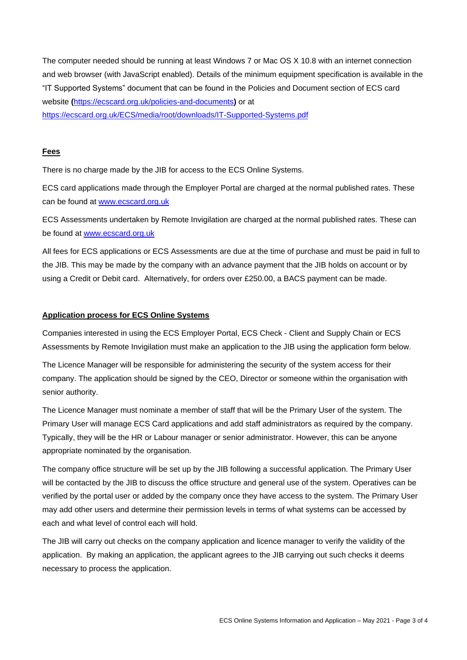The computer needed should be running at least Windows 7 or Mac OS X 10.8 with an internet connection and web browser (with JavaScript enabled). Details of the minimum equipment specification is available in the "IT Supported Systems" document that can be found in the Policies and Document section of ECS card website **(**<https://ecscard.org.uk/policies-and-documents>**)** or at <https://ecscard.org.uk/ECS/media/root/downloads/IT-Supported-Systems.pdf>

#### **Fees**

There is no charge made by the JIB for access to the ECS Online Systems.

ECS card applications made through the Employer Portal are charged at the normal published rates. These can be found at [www.ecscard.org.uk](http://www.ecscard.org.uk/)

ECS Assessments undertaken by Remote Invigilation are charged at the normal published rates. These can be found at [www.ecscard.org.uk](http://www.ecscard.org.uk/)

All fees for ECS applications or ECS Assessments are due at the time of purchase and must be paid in full to the JIB. This may be made by the company with an advance payment that the JIB holds on account or by using a Credit or Debit card. Alternatively, for orders over £250.00, a BACS payment can be made.

#### **Application process for ECS Online Systems**

Companies interested in using the ECS Employer Portal, ECS Check - Client and Supply Chain or ECS Assessments by Remote Invigilation must make an application to the JIB using the application form below.

The Licence Manager will be responsible for administering the security of the system access for their company. The application should be signed by the CEO, Director or someone within the organisation with senior authority.

The Licence Manager must nominate a member of staff that will be the Primary User of the system. The Primary User will manage ECS Card applications and add staff administrators as required by the company. Typically, they will be the HR or Labour manager or senior administrator. However, this can be anyone appropriate nominated by the organisation.

The company office structure will be set up by the JIB following a successful application. The Primary User will be contacted by the JIB to discuss the office structure and general use of the system. Operatives can be verified by the portal user or added by the company once they have access to the system. The Primary User may add other users and determine their permission levels in terms of what systems can be accessed by each and what level of control each will hold.

The JIB will carry out checks on the company application and licence manager to verify the validity of the application. By making an application, the applicant agrees to the JIB carrying out such checks it deems necessary to process the application.